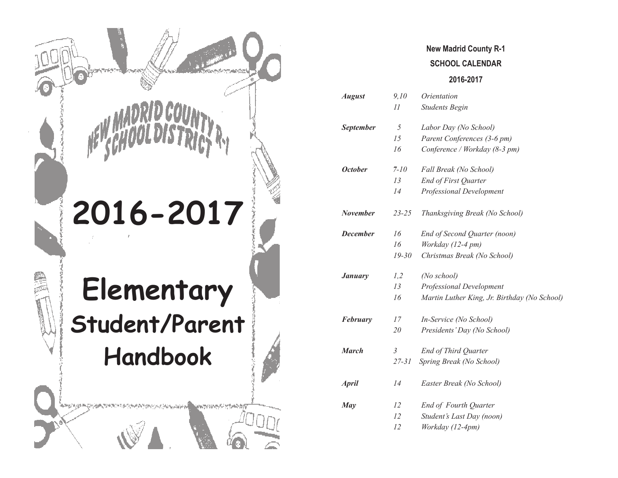

## **New Madrid County R-1 SCHOOL CALENDAR**

#### **2016-2017**

| <b>August</b>    | 9,10           | Orientation                                  |
|------------------|----------------|----------------------------------------------|
|                  | $_{II}$        | <b>Students Begin</b>                        |
| <b>September</b> | 5              | Labor Day (No School)                        |
|                  | 15             | Parent Conferences (3-6 pm)                  |
|                  | 16             | Conference / Workday (8-3 pm)                |
| <b>October</b>   | $7 - 10$       | Fall Break (No School)                       |
|                  | 13             | <b>End of First Quarter</b>                  |
|                  | 14             | <b>Professional Development</b>              |
| <b>November</b>  | $23 - 25$      | Thanksgiving Break (No School)               |
| <b>December</b>  | 16             | End of Second Quarter (noon)                 |
|                  | 16             | Workday (12-4 pm)                            |
|                  | $19 - 30$      | Christmas Break (No School)                  |
| <b>January</b>   | 1,2            | (No school)                                  |
|                  | 13             | Professional Development                     |
|                  | 16             | Martin Luther King, Jr. Birthday (No School) |
| <b>February</b>  | 17             | In-Service (No School)                       |
|                  | 20             | Presidents' Day (No School)                  |
| <b>March</b>     | $\mathfrak{Z}$ | End of Third Quarter                         |
|                  | $27 - 31$      | Spring Break (No School)                     |
| <b>April</b>     | 14             | Easter Break (No School)                     |
| May              | 12             | End of Fourth Quarter                        |
|                  | 12             | Student's Last Day (noon)                    |
|                  | 12             | Workday (12-4pm)                             |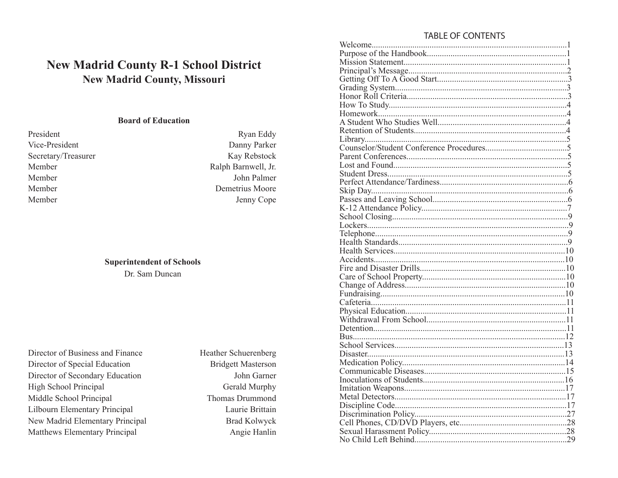### **TABLE OF CONTENTS**

|  |                                    |  | <b>New Madrid County R-1 School District</b> |
|--|------------------------------------|--|----------------------------------------------|
|  | <b>New Madrid County, Missouri</b> |  |                                              |

### **Board of Education**

| President           |  |
|---------------------|--|
| Vice-President      |  |
| Secretary/Treasurer |  |
| Member              |  |
| Member              |  |
| Member              |  |
| Member              |  |
|                     |  |

#### **Superintendent of Schools**

Dr. Sam Duncan

| Director of Business and Finance |
|----------------------------------|
| Director of Special Education    |
| Director of Secondary Education  |
| <b>High School Principal</b>     |
| Middle School Principal          |
| Lilbourn Elementary Principal    |
| New Madrid Elementary Principal  |
| Matthews Elementary Principal    |

| <b>Heather Schuerenberg</b> |
|-----------------------------|
| <b>Bridgett Masterson</b>   |
| John Garner                 |
| Gerald Murphy               |
| <b>Thomas Drummond</b>      |
| Laurie Brittain             |
| <b>Brad Kolwyck</b>         |
| Angie Hanlin                |

Ryan Eddy Danny Parker Kay Rebstock Ralph Barnwell, Jr. John Palmer

Demetrius Moore

Jenny Cope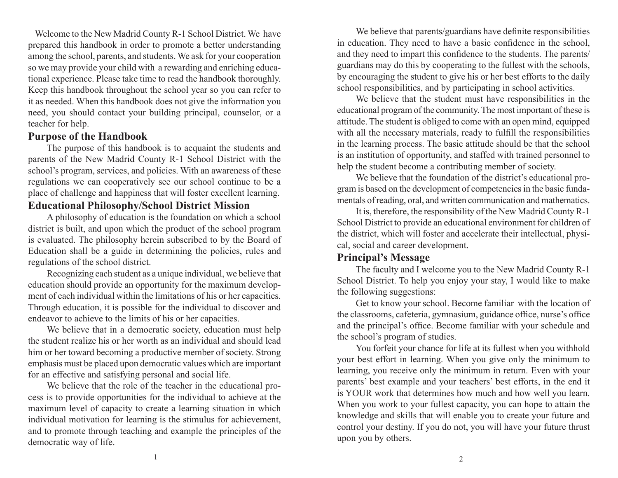Welcome to the New Madrid County R-1 School District. We have prepared this handbook in order to promote a better understanding among the school, parents, and students. We ask for your cooperation so we may provide your child with a rewarding and enriching educational experience. Please take time to read the handbook thoroughly. Keep this handbook throughout the school year so you can refer to it as needed. When this handbook does not give the information you need, you should contact your building principal, counselor, or a teacher for help.

### **Purpose of the Handbook**

The purpose of this handbook is to acquaint the students and parents of the New Madrid County R-1 School District with the school's program, services, and policies. With an awareness of these regulations we can cooperatively see our school continue to be a place of challenge and happiness that will foster excellent learning. **Educational Philosophy/School District Mission**

A philosophy of education is the foundation on which a school district is built, and upon which the product of the school program is evaluated. The philosophy herein subscribed to by the Board of Education shall be a guide in determining the policies, rules and regulations of the school district.

Recognizing each student as a unique individual, we believe that education should provide an opportunity for the maximum development of each individual within the limitations of his or her capacities. Through education, it is possible for the individual to discover and endeavor to achieve to the limits of his or her capacities.

We believe that in a democratic society, education must help the student realize his or her worth as an individual and should lead him or her toward becoming a productive member of society. Strong emphasis must be placed upon democratic values which are important for an effective and satisfying personal and social life.

We believe that the role of the teacher in the educational process is to provide opportunities for the individual to achieve at the maximum level of capacity to create a learning situation in which individual motivation for learning is the stimulus for achievement, and to promote through teaching and example the principles of the democratic way of life.

We believe that parents/guardians have definite responsibilities in education. They need to have a basic confidence in the school, and they need to impart this confidence to the students. The parents/ guardians may do this by cooperating to the fullest with the schools, by encouraging the student to give his or her best efforts to the daily school responsibilities, and by participating in school activities.

We believe that the student must have responsibilities in the educational program of the community. The most important of these is attitude. The student is obliged to come with an open mind, equipped with all the necessary materials, ready to fulfill the responsibilities in the learning process. The basic attitude should be that the school is an institution of opportunity, and staffed with trained personnel to help the student become a contributing member of society.

We believe that the foundation of the district's educational program is based on the development of competencies in the basic fundamentals of reading, oral, and written communication and mathematics.

It is, therefore, the responsibility of the New Madrid County R-1 School District to provide an educational environment for children of the district, which will foster and accelerate their intellectual, physical, social and career development.

### **Principal's Message**

The faculty and I welcome you to the New Madrid County R-1 School District. To help you enjoy your stay, I would like to make the following suggestions:

Get to know your school. Become familiar with the location of the classrooms, cafeteria, gymnasium, guidance office, nurse's office and the principal's office. Become familiar with your schedule and the school's program of studies.

You forfeit your chance for life at its fullest when you withhold your best effort in learning. When you give only the minimum to learning, you receive only the minimum in return. Even with your parents' best example and your teachers' best efforts, in the end it is YOUR work that determines how much and how well you learn. When you work to your fullest capacity, you can hope to attain the knowledge and skills that will enable you to create your future and control your destiny. If you do not, you will have your future thrust upon you by others.

1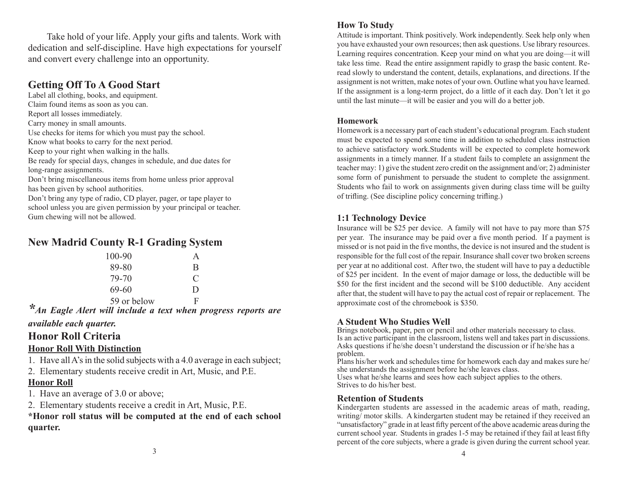Take hold of your life. Apply your gifts and talents. Work with dedication and self-discipline. Have high expectations for yourself and convert every challenge into an opportunity.

# **Getting Off To A Good Start**

Label all clothing, books, and equipment. Claim found items as soon as you can. Report all losses immediately. Carry money in small amounts. Use checks for items for which you must pay the school. Know what books to carry for the next period. Keep to your right when walking in the halls. Be ready for special days, changes in schedule, and due dates for long-range assignments.

Don't bring miscellaneous items from home unless prior approval has been given by school authorities.

Don't bring any type of radio, CD player, pager, or tape player to school unless you are given permission by your principal or teacher. Gum chewing will not be allowed.

# **New Madrid County R-1 Grading System**

| 100-90      | $\mathbf{A}$ |
|-------------|--------------|
| 89-80       | B            |
| 79-70       | €            |
| 69-60       | $\Box$       |
| 59 or below | F            |

<sup>\*</sup>An Eagle Alert will include a text when progress reports are *available each quarter.*

# **Honor Roll Criteria**

### **Honor Roll With Distinction**

1. Have all A's in the solid subjects with a 4.0 average in each subject;

2. Elementary students receive credit in Art, Music, and P.E.

### **Honor Roll**

1. Have an average of 3.0 or above;

2. Elementary students receive a credit in Art, Music, P.E.

**\*Honor roll status will be computed at the end of each school quarter.**

#### **How To Study**

Attitude is important. Think positively. Work independently. Seek help only when you have exhausted your own resources; then ask questions. Use library resources. Learning requires concentration. Keep your mind on what you are doing—it will take less time. Read the entire assignment rapidly to grasp the basic content. Reread slowly to understand the content, details, explanations, and directions. If the assignment is not written, make notes of your own. Outline what you have learned. If the assignment is a long-term project, do a little of it each day. Don't let it go until the last minute—it will be easier and you will do a better job.

#### **Homework**

Homework is a necessary part of each student's educational program. Each student must be expected to spend some time in addition to scheduled class instruction to achieve satisfactory work.Students will be expected to complete homework assignments in a timely manner. If a student fails to complete an assignment the teacher may: 1) give the student zero credit on the assignment and/or; 2) administer some form of punishment to persuade the student to complete the assignment. Students who fail to work on assignments given during class time will be guilty of trifling. (See discipline policy concerning trifling.)

### **1:1 Technology Device**

Insurance will be \$25 per device. A family will not have to pay more than \$75 per year. The insurance may be paid over a five month period. If a payment is missed or is not paid in the five months, the device is not insured and the student is responsible for the full cost of the repair. Insurance shall cover two broken screens per year at no additional cost. After two, the student will have to pay a deductible of \$25 per incident. In the event of major damage or loss, the deductible will be \$50 for the first incident and the second will be \$100 deductible. Any accident after that, the student will have to pay the actual cost of repair or replacement. The approximate cost of the chromebook is \$350.

### **A Student Who Studies Well**

Brings notebook, paper, pen or pencil and other materials necessary to class. Is an active participant in the classroom, listens well and takes part in discussions. Asks questions if he/she doesn't understand the discussion or if he/she has a problem.

Plans his/her work and schedules time for homework each day and makes sure he/ she understands the assignment before he/she leaves class.

Uses what he/she learns and sees how each subject applies to the others. Strives to do his/her best.

#### **Retention of Students**

Kindergarten students are assessed in the academic areas of math, reading, writing/ motor skills. A kindergarten student may be retained if they received an "unsatisfactory" grade in at least fifty percent of the above academic areas during the current school year. Students in grades 1-5 may be retained if they fail at least fifty percent of the core subjects, where a grade is given during the current school year.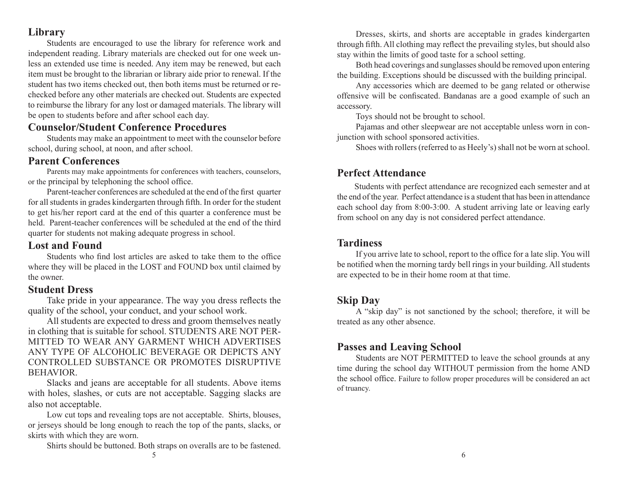# **Library**

Students are encouraged to use the library for reference work and independent reading. Library materials are checked out for one week unless an extended use time is needed. Any item may be renewed, but each item must be brought to the librarian or library aide prior to renewal. If the student has two items checked out, then both items must be returned or rechecked before any other materials are checked out. Students are expected to reimburse the library for any lost or damaged materials. The library will be open to students before and after school each day.

# **Counselor/Student Conference Procedures**

Students may make an appointment to meet with the counselor before school, during school, at noon, and after school.

## **Parent Conferences**

Parents may make appointments for conferences with teachers, counselors, or the principal by telephoning the school office.

Parent-teacher conferences are scheduled at the end of the first quarter for all students in grades kindergarten through fifth. In order for the student to get his/her report card at the end of this quarter a conference must be held. Parent-teacher conferences will be scheduled at the end of the third quarter for students not making adequate progress in school.

## **Lost and Found**

Students who find lost articles are asked to take them to the office where they will be placed in the LOST and FOUND box until claimed by the owner.

## **Student Dress**

Take pride in your appearance. The way you dress reflects the quality of the school, your conduct, and your school work.

All students are expected to dress and groom themselves neatly in clothing that is suitable for school. STUDENTS ARE NOT PER-MITTED TO WEAR ANY GARMENT WHICH ADVERTISES ANY TYPE OF ALCOHOLIC BEVERAGE OR DEPICTS ANY CONTROLLED SUBSTANCE OR PROMOTES DISRUPTIVE BEHAVIOR.

Slacks and jeans are acceptable for all students. Above items with holes, slashes, or cuts are not acceptable. Sagging slacks are also not acceptable.

Low cut tops and revealing tops are not acceptable. Shirts, blouses, or jerseys should be long enough to reach the top of the pants, slacks, or skirts with which they are worn.

Shirts should be buttoned. Both straps on overalls are to be fastened.

Dresses, skirts, and shorts are acceptable in grades kindergarten through fifth. All clothing may reflect the prevailing styles, but should also stay within the limits of good taste for a school setting.

Both head coverings and sunglasses should be removed upon entering the building. Exceptions should be discussed with the building principal.

Any accessories which are deemed to be gang related or otherwise offensive will be confiscated. Bandanas are a good example of such an accessory.

Toys should not be brought to school.

Pajamas and other sleepwear are not acceptable unless worn in conjunction with school sponsored activities.

Shoes with rollers (referred to as Heely's) shall not be worn at school.

# **Perfect Attendance**

Students with perfect attendance are recognized each semester and at the end of the year. Perfect attendance is a student that has been in attendance each school day from 8:00-3:00. A student arriving late or leaving early from school on any day is not considered perfect attendance.

# **Tardiness**

If you arrive late to school, report to the office for a late slip. You will be notified when the morning tardy bell rings in your building. All students are expected to be in their home room at that time.

# **Skip Day**

A "skip day" is not sanctioned by the school; therefore, it will be treated as any other absence.

# **Passes and Leaving School**

Students are NOT PERMITTED to leave the school grounds at any time during the school day WITHOUT permission from the home AND the school office. Failure to follow proper procedures will be considered an act of truancy.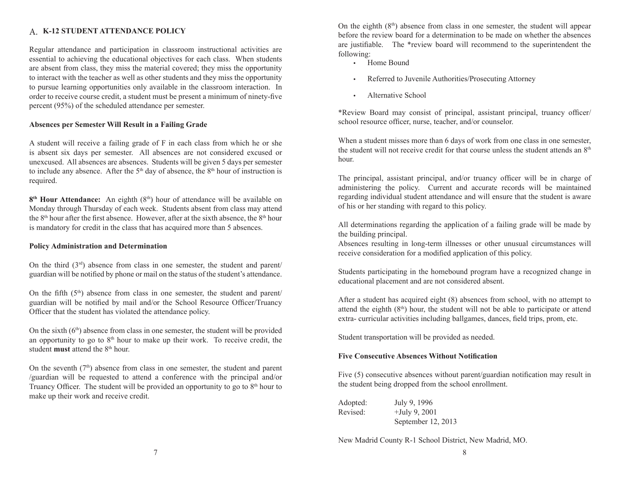### **K-12 STUDENT ATTENDANCE POLICY** A.

Regular attendance and participation in classroom instructional activities are essential to achieving the educational objectives for each class. When students are absent from class, they miss the material covered; they miss the opportunity to interact with the teacher as well as other students and they miss the opportunity to pursue learning opportunities only available in the classroom interaction. In order to receive course credit, a student must be present a minimum of ninety-five percent (95%) of the scheduled attendance per semester.

#### **Absences per Semester Will Result in a Failing Grade**

A student will receive a failing grade of F in each class from which he or she is absent six days per semester. All absences are not considered excused or unexcused. All absences are absences. Students will be given 5 days per semester to include any absence. After the  $5<sup>th</sup>$  day of absence, the  $8<sup>th</sup>$  hour of instruction is required.

**8<sup>th</sup> Hour Attendance:** An eighth (8<sup>th</sup>) hour of attendance will be available on Monday through Thursday of each week. Students absent from class may attend the  $8<sup>th</sup>$  hour after the first absence. However, after at the sixth absence, the  $8<sup>th</sup>$  hour is mandatory for credit in the class that has acquired more than 5 absences.

#### **Policy Administration and Determination**

On the third  $(3<sup>rd</sup>)$  absence from class in one semester, the student and parent/ guardian will be notified by phone or mail on the status of the student's attendance.

On the fifth  $(5<sup>th</sup>)$  absence from class in one semester, the student and parent/ guardian will be notified by mail and/or the School Resource Officer/Truancy Officer that the student has violated the attendance policy.

On the sixth  $(6<sup>th</sup>)$  absence from class in one semester, the student will be provided an opportunity to go to  $8<sup>th</sup>$  hour to make up their work. To receive credit, the student **must** attend the 8<sup>th</sup> hour.

On the seventh  $(7<sup>th</sup>)$  absence from class in one semester, the student and parent /guardian will be requested to attend a conference with the principal and/or Truancy Officer. The student will be provided an opportunity to go to  $8<sup>th</sup>$  hour to make up their work and receive credit.

On the eighth  $(8<sup>th</sup>)$  absence from class in one semester, the student will appear before the review board for a determination to be made on whether the absences are justifiable. The \*review board will recommend to the superintendent the following:

- Home Bound
- Referred to Juvenile Authorities/Prosecuting Attorney
- Alternative School

\*Review Board may consist of principal, assistant principal, truancy officer/ school resource officer, nurse, teacher, and/or counselor.

When a student misses more than 6 days of work from one class in one semester, the student will not receive credit for that course unless the student attends an  $8<sup>th</sup>$ hour.

The principal, assistant principal, and/or truancy officer will be in charge of administering the policy. Current and accurate records will be maintained regarding individual student attendance and will ensure that the student is aware of his or her standing with regard to this policy.

All determinations regarding the application of a failing grade will be made by the building principal.

Absences resulting in long-term illnesses or other unusual circumstances will receive consideration for a modified application of this policy.

Students participating in the homebound program have a recognized change in educational placement and are not considered absent.

After a student has acquired eight (8) absences from school, with no attempt to attend the eighth  $(8<sup>th</sup>)$  hour, the student will not be able to participate or attend extra- curricular activities including ballgames, dances, field trips, prom, etc.

Student transportation will be provided as needed.

#### **Five Consecutive Absences Without Notification**

Five (5) consecutive absences without parent/guardian notification may result in the student being dropped from the school enrollment.

| Adopted: | July 9, 1996       |
|----------|--------------------|
| Revised: | $+$ July 9, 2001   |
|          | September 12, 2013 |

New Madrid County R-1 School District, New Madrid, MO.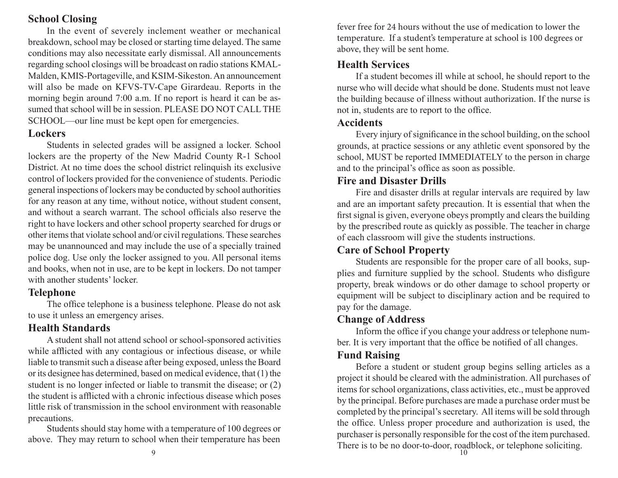## **School Closing**

In the event of severely inclement weather or mechanical breakdown, school may be closed or starting time delayed. The same conditions may also necessitate early dismissal. All announcements regarding school closings will be broadcast on radio stations KMAL-Malden, KMIS-Portageville, and KSIM-Sikeston. An announcement will also be made on KFVS-TV-Cape Girardeau. Reports in the morning begin around 7:00 a.m. If no report is heard it can be assumed that school will be in session. PLEASE DO NOT CALL THE SCHOOL—our line must be kept open for emergencies.

# **Lockers**

Students in selected grades will be assigned a locker. School lockers are the property of the New Madrid County R-1 School District. At no time does the school district relinquish its exclusive control of lockers provided for the convenience of students. Periodic general inspections of lockers may be conducted by school authorities for any reason at any time, without notice, without student consent, and without a search warrant. The school officials also reserve the right to have lockers and other school property searched for drugs or other items that violate school and/or civil regulations. These searches may be unannounced and may include the use of a specially trained police dog. Use only the locker assigned to you. All personal items and books, when not in use, are to be kept in lockers. Do not tamper with another students' locker.

# **Telephone**

The office telephone is a business telephone. Please do not ask to use it unless an emergency arises.

# **Health Standards**

A student shall not attend school or school-sponsored activities while afflicted with any contagious or infectious disease, or while liable to transmit such a disease after being exposed, unless the Board or its designee has determined, based on medical evidence, that (1) the student is no longer infected or liable to transmit the disease; or (2) the student is afflicted with a chronic infectious disease which poses little risk of transmission in the school environment with reasonable precautions.

Students should stay home with a temperature of 100 degrees or above. They may return to school when their temperature has been

fever free for 24 hours without the use of medication to lower the temperature. If a student's temperature at school is 100 degrees or above, they will be sent home.

# **Health Services**

If a student becomes ill while at school, he should report to the nurse who will decide what should be done. Students must not leave the building because of illness without authorization. If the nurse is not in, students are to report to the office.

# **Accidents**

Every injury of significance in the school building, on the school grounds, at practice sessions or any athletic event sponsored by the school, MUST be reported IMMEDIATELY to the person in charge and to the principal's office as soon as possible.

# **Fire and Disaster Drills**

Fire and disaster drills at regular intervals are required by law and are an important safety precaution. It is essential that when the first signal is given, everyone obeys promptly and clears the building by the prescribed route as quickly as possible. The teacher in charge of each classroom will give the students instructions.

# **Care of School Property**

Students are responsible for the proper care of all books, supplies and furniture supplied by the school. Students who disfigure property, break windows or do other damage to school property or equipment will be subject to disciplinary action and be required to pay for the damage.

# **Change of Address**

Inform the office if you change your address or telephone number. It is very important that the office be notified of all changes.

# **Fund Raising**

Before a student or student group begins selling articles as a project it should be cleared with the administration. All purchases of items for school organizations, class activities, etc., must be approved by the principal. Before purchases are made a purchase order must be completed by the principal's secretary. All items will be sold through the office. Unless proper procedure and authorization is used, the purchaser is personally responsible for the cost of the item purchased. There is to be no door-to-door, roadblock, or telephone soliciting.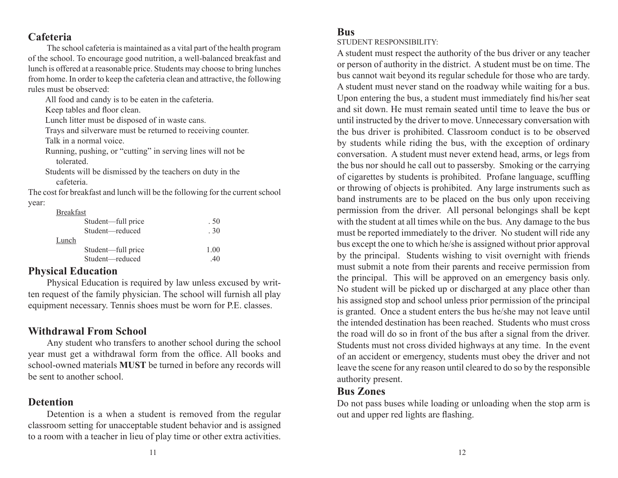# **Cafeteria**

The school cafeteria is maintained as a vital part of the health program of the school. To encourage good nutrition, a well-balanced breakfast and lunch is offered at a reasonable price. Students may choose to bring lunches from home. In order to keep the cafeteria clean and attractive, the following rules must be observed:

All food and candy is to be eaten in the cafeteria.

Keep tables and floor clean.

Lunch litter must be disposed of in waste cans.

Trays and silverware must be returned to receiving counter. Talk in a normal voice.

Running, pushing, or "cutting" in serving lines will not be tolerated.

Students will be dismissed by the teachers on duty in the cafeteria.

The cost for breakfast and lunch will be the following for the current school year:

Breakfast

|       | Student—full price | . 50 |
|-------|--------------------|------|
|       | Student-reduced    | .30  |
| Lunch |                    |      |
|       | Student—full price | 1.00 |
|       | Student—reduced    | 40   |
|       |                    |      |

## **Physical Education**

Physical Education is required by law unless excused by written request of the family physician. The school will furnish all play equipment necessary. Tennis shoes must be worn for P.E. classes.

# **Withdrawal From School**

Any student who transfers to another school during the school year must get a withdrawal form from the office. All books and school-owned materials **MUST** be turned in before any records will be sent to another school.

## **Detention**

Detention is a when a student is removed from the regular classroom setting for unacceptable student behavior and is assigned to a room with a teacher in lieu of play time or other extra activities.

### **Bus**

STUDENT RESPONSIBILITY:

A student must respect the authority of the bus driver or any teacher or person of authority in the district. A student must be on time. The bus cannot wait beyond its regular schedule for those who are tardy. A student must never stand on the roadway while waiting for a bus. Upon entering the bus, a student must immediately find his/her seat and sit down. He must remain seated until time to leave the bus or until instructed by the driver to move. Unnecessary conversation with the bus driver is prohibited. Classroom conduct is to be observed by students while riding the bus, with the exception of ordinary conversation. A student must never extend head, arms, or legs from the bus nor should he call out to passersby. Smoking or the carrying of cigarettes by students is prohibited. Profane language, scuffling or throwing of objects is prohibited. Any large instruments such as band instruments are to be placed on the bus only upon receiving permission from the driver. All personal belongings shall be kept with the student at all times while on the bus. Any damage to the bus must be reported immediately to the driver. No student will ride any bus except the one to which he/she is assigned without prior approval by the principal. Students wishing to visit overnight with friends must submit a note from their parents and receive permission from the principal. This will be approved on an emergency basis only. No student will be picked up or discharged at any place other than his assigned stop and school unless prior permission of the principal is granted. Once a student enters the bus he/she may not leave until the intended destination has been reached. Students who must cross the road will do so in front of the bus after a signal from the driver. Students must not cross divided highways at any time. In the event of an accident or emergency, students must obey the driver and not leave the scene for any reason until cleared to do so by the responsible authority present.

## **Bus Zones**

Do not pass buses while loading or unloading when the stop arm is out and upper red lights are flashing.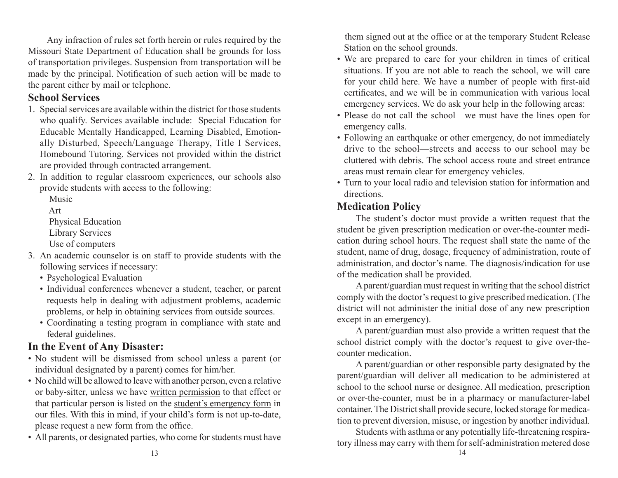Any infraction of rules set forth herein or rules required by the Missouri State Department of Education shall be grounds for loss of transportation privileges. Suspension from transportation will be made by the principal. Notification of such action will be made to the parent either by mail or telephone.

# **School Services**

- 1. Special services are available within the district for those students who qualify. Services available include: Special Education for Educable Mentally Handicapped, Learning Disabled, Emotionally Disturbed, Speech/Language Therapy, Title I Services, Homebound Tutoring. Services not provided within the district are provided through contracted arrangement.
- 2. In addition to regular classroom experiences, our schools also provide students with access to the following:

Music

Art

- Physical Education
- Library Services
- Use of computers
- 3. An academic counselor is on staff to provide students with the following services if necessary:
	- Psychological Evaluation
	- Individual conferences whenever a student, teacher, or parent requests help in dealing with adjustment problems, academic problems, or help in obtaining services from outside sources.
	- Coordinating a testing program in compliance with state and federal guidelines.

# **In the Event of Any Disaster:**

- No student will be dismissed from school unless a parent (or individual designated by a parent) comes for him/her.
- No child will be allowed to leave with another person, even a relative or baby-sitter, unless we have written permission to that effect or that particular person is listed on the student's emergency form in our files. With this in mind, if your child's form is not up-to-date, please request a new form from the office.
- All parents, or designated parties, who come for students must have

 them signed out at the office or at the temporary Student Release Station on the school grounds.

- We are prepared to care for your children in times of critical situations. If you are not able to reach the school, we will care for your child here. We have a number of people with first-aid certificates, and we will be in communication with various local emergency services. We do ask your help in the following areas:
- Please do not call the school—we must have the lines open for emergency calls.
- Following an earthquake or other emergency, do not immediately drive to the school—streets and access to our school may be cluttered with debris. The school access route and street entrance areas must remain clear for emergency vehicles.
- Turn to your local radio and television station for information and directions.

# **Medication Policy**

The student's doctor must provide a written request that the student be given prescription medication or over-the-counter medication during school hours. The request shall state the name of the student, name of drug, dosage, frequency of administration, route of administration, and doctor's name. The diagnosis/indication for use of the medication shall be provided.

A parent/guardian must request in writing that the school district comply with the doctor's request to give prescribed medication. (The district will not administer the initial dose of any new prescription except in an emergency).

A parent/guardian must also provide a written request that the school district comply with the doctor's request to give over-thecounter medication.

A parent/guardian or other responsible party designated by the parent/guardian will deliver all medication to be administered at school to the school nurse or designee. All medication, prescription or over-the-counter, must be in a pharmacy or manufacturer-label container. The District shall provide secure, locked storage for medication to prevent diversion, misuse, or ingestion by another individual.

Students with asthma or any potentially life-threatening respiratory illness may carry with them for self-administration metered dose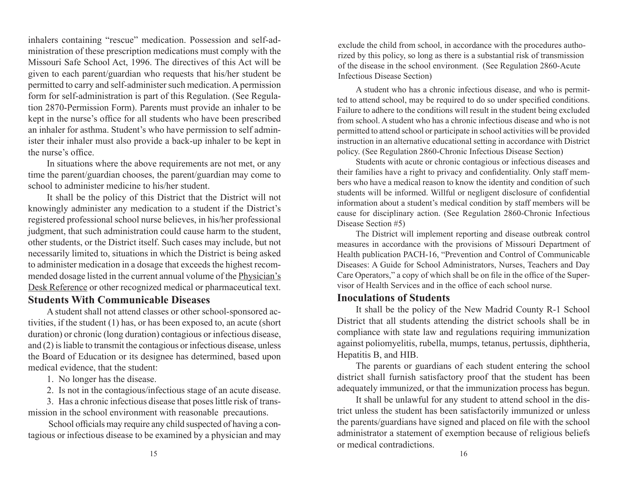inhalers containing "rescue" medication. Possession and self-administration of these prescription medications must comply with the Missouri Safe School Act, 1996. The directives of this Act will be given to each parent/guardian who requests that his/her student be permitted to carry and self-administer such medication. A permission form for self-administration is part of this Regulation. (See Regulation 2870-Permission Form). Parents must provide an inhaler to be kept in the nurse's office for all students who have been prescribed an inhaler for asthma. Student's who have permission to self administer their inhaler must also provide a back-up inhaler to be kept in the nurse's office.

In situations where the above requirements are not met, or any time the parent/guardian chooses, the parent/guardian may come to school to administer medicine to his/her student.

It shall be the policy of this District that the District will not knowingly administer any medication to a student if the District's registered professional school nurse believes, in his/her professional judgment, that such administration could cause harm to the student, other students, or the District itself. Such cases may include, but not necessarily limited to, situations in which the District is being asked to administer medication in a dosage that exceeds the highest recommended dosage listed in the current annual volume of the Physician's Desk Reference or other recognized medical or pharmaceutical text.

# **Students With Communicable Diseases**

A student shall not attend classes or other school-sponsored activities, if the student (1) has, or has been exposed to, an acute (short duration) or chronic (long duration) contagious or infectious disease, and (2) is liable to transmit the contagious or infectious disease, unless the Board of Education or its designee has determined, based upon medical evidence, that the student:

- 1. No longer has the disease.
- 2. Is not in the contagious/infectious stage of an acute disease.

3. Has a chronic infectious disease that poses little risk of transmission in the school environment with reasonable precautions.

 School officials may require any child suspected of having a contagious or infectious disease to be examined by a physician and may exclude the child from school, in accordance with the procedures authorized by this policy, so long as there is a substantial risk of transmission of the disease in the school environment. (See Regulation 2860-Acute Infectious Disease Section)

A student who has a chronic infectious disease, and who is permitted to attend school, may be required to do so under specified conditions. Failure to adhere to the conditions will result in the student being excluded from school. A student who has a chronic infectious disease and who is not permitted to attend school or participate in school activities will be provided instruction in an alternative educational setting in accordance with District policy. (See Regulation 2860-Chronic Infectious Disease Section)

Students with acute or chronic contagious or infectious diseases and their families have a right to privacy and confidentiality. Only staff members who have a medical reason to know the identity and condition of such students will be informed. Willful or negligent disclosure of confidential information about a student's medical condition by staff members will be cause for disciplinary action. (See Regulation 2860-Chronic Infectious Disease Section #5)

The District will implement reporting and disease outbreak control measures in accordance with the provisions of Missouri Department of Health publication PACH-16, "Prevention and Control of Communicable Diseases: A Guide for School Administrators, Nurses, Teachers and Day Care Operators," a copy of which shall be on file in the office of the Supervisor of Health Services and in the office of each school nurse.

### **Inoculations of Students**

It shall be the policy of the New Madrid County R-1 School District that all students attending the district schools shall be in compliance with state law and regulations requiring immunization against poliomyelitis, rubella, mumps, tetanus, pertussis, diphtheria, Hepatitis B, and HIB.

The parents or guardians of each student entering the school district shall furnish satisfactory proof that the student has been adequately immunized, or that the immunization process has begun.

It shall be unlawful for any student to attend school in the district unless the student has been satisfactorily immunized or unless the parents/guardians have signed and placed on file with the school administrator a statement of exemption because of religious beliefs or medical contradictions.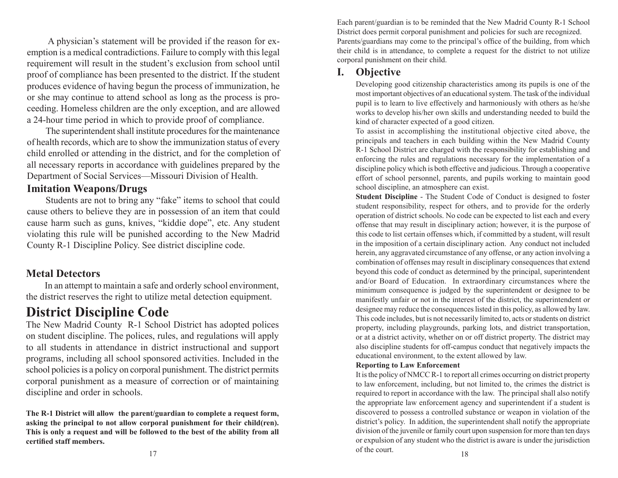A physician's statement will be provided if the reason for exemption is a medical contradictions. Failure to comply with this legal requirement will result in the student's exclusion from school until proof of compliance has been presented to the district. If the student produces evidence of having begun the process of immunization, he or she may continue to attend school as long as the process is proceeding. Homeless children are the only exception, and are allowed a 24-hour time period in which to provide proof of compliance.

The superintendent shall institute procedures for the maintenance of health records, which are to show the immunization status of every child enrolled or attending in the district, and for the completion of all necessary reports in accordance with guidelines prepared by the Department of Social Services—Missouri Division of Health.

## **Imitation Weapons/Drugs**

Students are not to bring any "fake" items to school that could cause others to believe they are in possession of an item that could cause harm such as guns, knives, "kiddie dope", etc. Any student violating this rule will be punished according to the New Madrid County R-1 Discipline Policy. See district discipline code.

# **Metal Detectors**

In an attempt to maintain a safe and orderly school environment, the district reserves the right to utilize metal detection equipment.

# **District Discipline Code**

The New Madrid County R-1 School District has adopted polices on student discipline. The polices, rules, and regulations will apply to all students in attendance in district instructional and support programs, including all school sponsored activities. Included in the school policies is a policy on corporal punishment. The district permits corporal punishment as a measure of correction or of maintaining discipline and order in schools.

**The R-1 District will allow the parent/guardian to complete a request form, asking the principal to not allow corporal punishment for their child(ren). This is only a request and will be followed to the best of the ability from all certified staff members.**

Each parent/guardian is to be reminded that the New Madrid County R-1 School District does permit corporal punishment and policies for such are recognized. Parents/guardians may come to the principal's office of the building, from which their child is in attendance, to complete a request for the district to not utilize corporal punishment on their child.

# **I. Objective**

Developing good citizenship characteristics among its pupils is one of the most important objectives of an educational system. The task of the individual pupil is to learn to live effectively and harmoniously with others as he/she works to develop his/her own skills and understanding needed to build the kind of character expected of a good citizen.

To assist in accomplishing the institutional objective cited above, the principals and teachers in each building within the New Madrid County R-1 School District are charged with the responsibility for establishing and enforcing the rules and regulations necessary for the implementation of a discipline policy which is both effective and judicious. Through a cooperative effort of school personnel, parents, and pupils working to maintain good school discipline, an atmosphere can exist.

**Student Discipline** - The Student Code of Conduct is designed to foster student responsibility, respect for others, and to provide for the orderly operation of district schools. No code can be expected to list each and every offense that may result in disciplinary action; however, it is the purpose of this code to list certain offenses which, if committed by a student, will result in the imposition of a certain disciplinary action. Any conduct not included herein, any aggravated circumstance of any offense, or any action involving a combination of offenses may result in disciplinary consequences that extend beyond this code of conduct as determined by the principal, superintendent and/or Board of Education. In extraordinary circumstances where the minimum consequence is judged by the superintendent or designee to be manifestly unfair or not in the interest of the district, the superintendent or designee may reduce the consequences listed in this policy, as allowed by law. This code includes, but is not necessarily limited to, acts or students on district property, including playgrounds, parking lots, and district transportation, or at a district activity, whether on or off district property. The district may also discipline students for off-campus conduct that negatively impacts the educational environment, to the extent allowed by law.

#### **Reporting to Law Enforcement**

It is the policy of NMCC R-1 to report all crimes occurring on district property to law enforcement, including, but not limited to, the crimes the district is required to report in accordance with the law. The principal shall also notify the appropriate law enforcement agency and superintendent if a student is discovered to possess a controlled substance or weapon in violation of the district's policy. In addition, the superintendent shall notify the appropriate division of the juvenile or family court upon suspension for more than ten days or expulsion of any student who the district is aware is under the jurisdiction of the court. <sup>18</sup>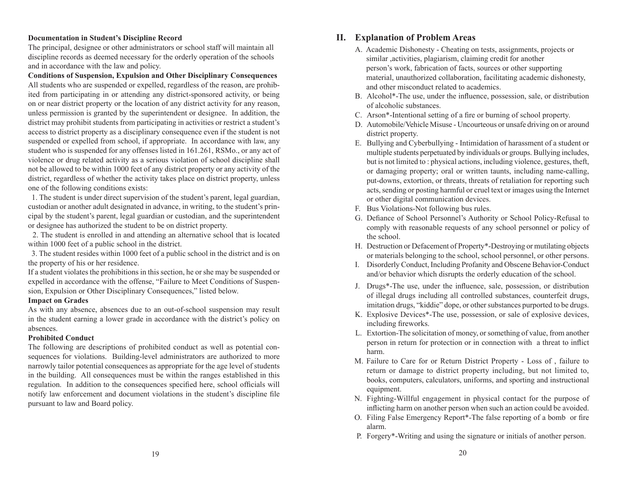#### **Documentation in Student's Discipline Record**

The principal, designee or other administrators or school staff will maintain all discipline records as deemed necessary for the orderly operation of the schools and in accordance with the law and policy.

**Conditions of Suspension, Expulsion and Other Disciplinary Consequences** All students who are suspended or expelled, regardless of the reason, are prohibited from participating in or attending any district-sponsored activity, or being on or near district property or the location of any district activity for any reason, unless permission is granted by the superintendent or designee. In addition, the district may prohibit students from participating in activities or restrict a student's access to district property as a disciplinary consequence even if the student is not suspended or expelled from school, if appropriate. In accordance with law, any student who is suspended for any offenses listed in 161.261, RSMo., or any act of violence or drug related activity as a serious violation of school discipline shall not be allowed to be within 1000 feet of any district property or any activity of the district, regardless of whether the activity takes place on district property, unless one of the following conditions exists:

 1. The student is under direct supervision of the student's parent, legal guardian, custodian or another adult designated in advance, in writing, to the student's principal by the student's parent, legal guardian or custodian, and the superintendent or designee has authorized the student to be on district property.

 2. The student is enrolled in and attending an alternative school that is located within 1000 feet of a public school in the district.

 3. The student resides within 1000 feet of a public school in the district and is on the property of his or her residence.

If a student violates the prohibitions in this section, he or she may be suspended or expelled in accordance with the offense, "Failure to Meet Conditions of Suspension, Expulsion or Other Disciplinary Consequences," listed below.

#### **Impact on Grades**

As with any absence, absences due to an out-of-school suspension may result in the student earning a lower grade in accordance with the district's policy on absences.

#### **Prohibited Conduct**

The following are descriptions of prohibited conduct as well as potential consequences for violations. Building-level administrators are authorized to more narrowly tailor potential consequences as appropriate for the age level of students in the building. All consequences must be within the ranges established in this regulation. In addition to the consequences specified here, school officials will notify law enforcement and document violations in the student's discipline file pursuant to law and Board policy.

#### **II. Explanation of Problem Areas**

- A. Academic Dishonesty Cheating on tests, assignments, projects or similar ,activities, plagiarism, claiming credit for another person's work, fabrication of facts, sources or other supporting material, unauthorized collaboration, facilitating academic dishonesty, and other misconduct related to academics.
- B. Alcohol\*-The use, under the influence, possession, sale, or distribution of alcoholic substances.
- C. Arson\*-Intentional setting of a fire or burning of school property.
- D. Automobile/Vehicle Misuse Uncourteous or unsafe driving on or around district property.
- E. Bullying and Cyberbullying Intimidation of harassment of a student or multiple students perpetuated by individuals or groups. Bullying includes, but is not limited to : physical actions, including violence, gestures, theft, or damaging property; oral or written taunts, including name-calling, put-downs, extortion, or threats, threats of retaliation for reporting such acts, sending or posting harmful or cruel text or images using the Internet or other digital communication devices.
- F. Bus Violations-Not following bus rules.
- G. Defiance of School Personnel's Authority or School Policy-Refusal to comply with reasonable requests of any school personnel or policy of the school.
- H. Destruction or Defacement of Property\*-Destroying or mutilating objects or materials belonging to the school, school personnel, or other persons.
- I. Disorderly Conduct, Including Profanity and Obscene Behavior-Conduct and/or behavior which disrupts the orderly education of the school.
- J. Drugs\*-The use, under the influence, sale, possession, or distribution of illegal drugs including all controlled substances, counterfeit drugs, imitation drugs, "kiddie" dope, or other substances purported to be drugs.
- K. Explosive Devices\*-The use, possession, or sale of explosive devices, including fireworks.
- L. Extortion-The solicitation of money, or something of value, from another person in return for protection or in connection with a threat to inflict harm.
- M. Failure to Care for or Return District Property Loss of , failure to return or damage to district property including, but not limited to, books, computers, calculators, uniforms, and sporting and instructional equipment.
- N. Fighting-Willful engagement in physical contact for the purpose of inflicting harm on another person when such an action could be avoided.
- O. Filing False Emergency Report\*-The false reporting of a bomb or fire alarm.
- P. Forgery\*-Writing and using the signature or initials of another person.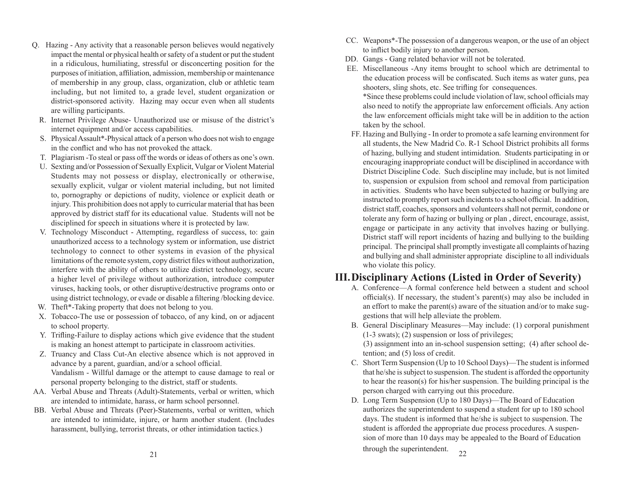- Q. Hazing Any activity that a reasonable person believes would negatively impact the mental or physical health or safety of a student or put the student in a ridiculous, humiliating, stressful or disconcerting position for the purposes of initiation, affiliation, admission, membership or maintenance of membership in any group, class, organization, club or athletic team including, but not limited to, a grade level, student organization or district-sponsored activity. Hazing may occur even when all students are willing participants.
	- R. Internet Privilege Abuse- Unauthorized use or misuse of the district's internet equipment and/or access capabilities.
	- S. Physical Assault\*-Physical attack of a person who does not wish to engage in the conflict and who has not provoked the attack.
	- T. Plagiarism -To steal or pass off the words or ideas of others as one's own.
	- U. Sexting and/or Possession of Sexually Explicit, Vulgar or Violent Material Students may not possess or display, electronically or otherwise, sexually explicit, vulgar or violent material including, but not limited to, pornography or depictions of nudity, violence or explicit death or injury. This prohibition does not apply to curricular material that has been approved by district staff for its educational value. Students will not be disciplined for speech in situations where it is protected by law.
	- V. Technology Misconduct Attempting, regardless of success, to: gain unauthorized access to a technology system or information, use district technology to connect to other systems in evasion of the physical limitations of the remote system, copy district files without authorization, interfere with the ability of others to utilize district technology, secure a higher level of privilege without authorization, introduce computer viruses, hacking tools, or other disruptive/destructive programs onto or using district technology, or evade or disable a filtering /blocking device.
	- W. Theft<sup>\*</sup>-Taking property that does not belong to you.
	- X. Tobacco-The use or possession of tobacco, of any kind, on or adjacent to school property.
	- Y. Trifling-Failure to display actions which give evidence that the student is making an honest attempt to participate in classroom activities.
	- Z. Truancy and Class Cut-An elective absence which is not approved in advance by a parent, guardian, and/or a school official. Vandalism - Willful damage or the attempt to cause damage to real or personal property belonging to the district, staff or students.
- AA. Verbal Abuse and Threats (Adult)-Statements, verbal or written, which are intended to intimidate, harass, or harm school personnel.
- BB. Verbal Abuse and Threats (Peer)-Statements, verbal or written, which are intended to intimidate, injure, or harm another student. (Includes harassment, bullying, terrorist threats, or other intimidation tactics.)
- CC. Weapons\*-The possession of a dangerous weapon, or the use of an object to inflict bodily injury to another person.
- DD. Gangs Gang related behavior will not be tolerated.
- EE. Miscellaneous -Any items brought to school which are detrimental to the education process will be confiscated. Such items as water guns, pea shooters, sling shots, etc. See trifling for consequences.

\*Since these problems could include violation of law, school officials may also need to notify the appropriate law enforcement officials. Any action the law enforcement officials might take will be in addition to the action taken by the school.

FF. Hazing and Bullying - In order to promote a safe learning environment for all students, the New Madrid Co. R-1 School District prohibits all forms of hazing, bullying and student intimidation. Students participating in or encouraging inappropriate conduct will be disciplined in accordance with District Discipline Code. Such discipline may include, but is not limited to, suspension or expulsion from school and removal from participation in activities. Students who have been subjected to hazing or bullying are instructed to promptly report such incidents to a school official. In addition, district staff, coaches, sponsors and volunteers shall not permit, condone or tolerate any form of hazing or bullying or plan , direct, encourage, assist, engage or participate in any activity that involves hazing or bullying. District staff will report incidents of hazing and bullying to the building principal. The principal shall promptly investigate all complaints of hazing and bullying and shall administer appropriate discipline to all individuals who violate this policy.

# **III.Disciplinary Actions (Listed in Order of Severity)**

- A. Conference—A formal conference held between a student and school official(s). If necessary, the student's parent(s) may also be included in an effort to make the parent(s) aware of the situation and/or to make suggestions that will help alleviate the problem.
- B. General Disciplinary Measures—May include: (1) corporal punishment (1-3 swats); (2) suspension or loss of privileges;

 (3) assignment into an in-school suspension setting; (4) after school detention; and (5) loss of credit.

- C. Short Term Suspension (Up to 10 School Days)—The student is informed that he/she is subject to suspension. The student is afforded the opportunity to hear the reason(s) for his/her suspension. The building principal is the person charged with carrying out this procedure.
- D. Long Term Suspension (Up to 180 Days)—The Board of Education authorizes the superintendent to suspend a student for up to 180 school days. The student is informed that he/she is subject to suspension. The student is afforded the appropriate due process procedures. A suspension of more than 10 days may be appealed to the Board of Education through the superintendent.  $22$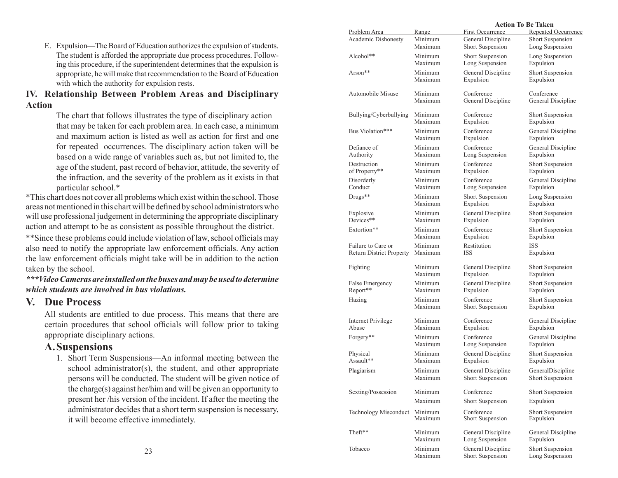E. Expulsion—The Board of Education authorizes the expulsion of students. The student is afforded the appropriate due process procedures. Following this procedure, if the superintendent determines that the expulsion is appropriate, he will make that recommendation to the Board of Education with which the authority for expulsion rests.

#### **IV. Relationship Between Problem Areas and Disciplinary Action**

The chart that follows illustrates the type of disciplinary action that may be taken for each problem area. In each case, a minimum and maximum action is listed as well as action for first and one for repeated occurrences. The disciplinary action taken will be based on a wide range of variables such as, but not limited to, the age of the student, past record of behavior, attitude, the severity of the infraction, and the severity of the problem as it exists in that particular school.\*

\*This chart does not cover all problems which exist within the school. Those areas not mentioned in this chart will be defined by school administrators who will use professional judgement in determining the appropriate disciplinary action and attempt to be as consistent as possible throughout the district.

\*\*Since these problems could include violation of law, school officials may also need to notify the appropriate law enforcement officials. Any action the law enforcement officials might take will be in addition to the action taken by the school.

*\*\*\*Video Cameras are installed on the buses and may be used to determine which students are involved in bus violations.*

## **V. Due Process**

All students are entitled to due process. This means that there are certain procedures that school officials will follow prior to taking appropriate disciplinary actions.

### **A.Suspensions**

1. Short Term Suspensions—An informal meeting between the school administrator(s), the student, and other appropriate persons will be conducted. The student will be given notice of the charge(s) against her/him and will be given an opportunity to present her /his version of the incident. If after the meeting the administrator decides that a short term suspension is necessary, it will become effective immediately.

|                                 |         | Action To Be Taken      |                     |
|---------------------------------|---------|-------------------------|---------------------|
| Problem Area                    | Range   | First Occurrence        | Repeated Occurrence |
| Academic Dishonesty             | Minimum | General Discipline      | Short Suspension    |
|                                 | Maximum | Short Suspension        | Long Suspension     |
| Alcohol**                       | Minimum | Short Suspension        | Long Suspension     |
|                                 | Maximum | Long Suspension         | Expulsion           |
| Arson**                         | Minimum | General Discipline      | Short Suspension    |
|                                 | Maximum | Expulsion               | Expulsion           |
| Automobile Misuse               | Minimum | Conference              | Conference          |
|                                 | Maximum | General Discipline      | General Discipline  |
| Bullying/Cyberbullying          | Minimum | Conference              | Short Suspension    |
|                                 | Maximum | Expulsion               | Expulsion           |
| Bus Violation***                | Minimum | Conference              | General Discipline  |
|                                 | Maximum | Expulsion               | Expulsion           |
| Defiance of                     | Minimum | Conference              | General Discipline  |
| Authority                       | Maximum | Long Suspension         | Expulsion           |
| Destruction                     | Minimum | Conference              | Short Suspension    |
| of Property**                   | Maximum | Expulsion               | Expulsion           |
| Disorderly                      | Minimum | Conference              | General Discipline  |
| Conduct                         | Maximum | Long Suspension         | Expulsion           |
| Drugs**                         | Minimum | Short Suspension        | Long Suspension     |
|                                 | Maximum | Expulsion               | Expulsion           |
| Explosive                       | Minimum | General Discipline      | Short Suspension    |
| Devices**                       | Maximum | Expulsion               | Expulsion           |
| Extortion**                     | Minimum | Conference              | Short Suspension    |
|                                 | Maximum | Expulsion               | Expulsion           |
| Failure to Care or              | Minimum | Restitution             | <b>ISS</b>          |
| <b>Return District Property</b> | Maximum | <b>ISS</b>              | Expulsion           |
| Fighting                        | Minimum | General Discipline      | Short Suspension    |
|                                 | Maximum | Expulsion               | Expulsion           |
| False Emergency                 | Minimum | General Discipline      | Short Suspension    |
| Report**                        | Maximum | Expulsion               | Expulsion           |
| Hazing                          | Minimum | Conference              | Short Suspension    |
|                                 | Maximum | Short Suspension        | Expulsion           |
| Internet Privilege              | Minimum | Conference              | General Discipline  |
| Abuse                           | Maximum | Expulsion               | Expulsion           |
| Forgery**                       | Minimum | Conference              | General Discipline  |
|                                 | Maximum | Long Suspension         | Expulsion           |
| Physical                        | Minimum | General Discipline      | Short Suspension    |
| Assault**                       | Maximum | Expulsion               | Expulsion           |
| Plagiarism                      | Minimum | General Discipline      | GeneralDiscipline   |
|                                 | Maximum | <b>Short Suspension</b> | Short Suspension    |
| Sexting/Possession              | Minimum | Conference              | Short Suspension    |
|                                 | Maximum | Short Suspension        | Expulsion           |
| Technology Misconduct           | Minimum | Conference              | Short Suspension    |
|                                 | Maximum | Short Suspension        | Expulsion           |
| Theft**                         | Minimum | General Discipline      | General Discipline  |
|                                 | Maximum | Long Suspension         | Expulsion           |
| Tobacco                         | Minimum | General Discipline      | Short Suspension    |
|                                 | Maximum | Short Suspension        | Long Suspension     |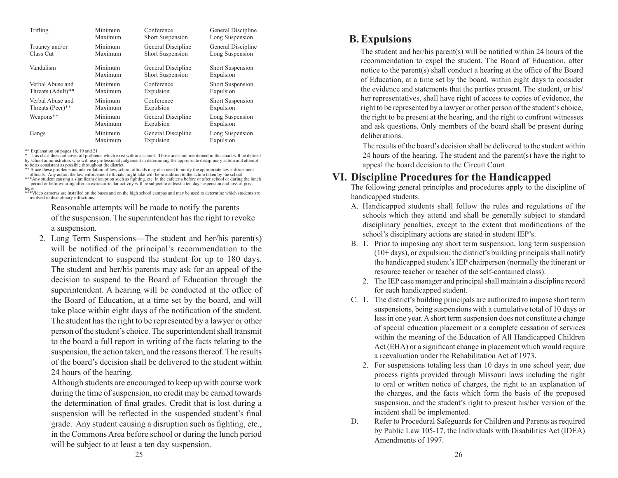| Trifling          | Minimum | Conference         | General Discipline |
|-------------------|---------|--------------------|--------------------|
|                   | Maximum | Short Suspension   | Long Suspension    |
| Truancy and/or    | Minimum | General Discipline | General Discipline |
| Class Cut         | Maximum | Short Suspension   | Long Suspension    |
| Vandalism         | Minimum | General Discipline | Short Suspension   |
|                   | Maximum | Short Suspension   | Expulsion          |
| Verbal Abuse and  | Minimum | Conference         | Short Suspension   |
| Threats (Adult)** | Maximum | Expulsion          | Expulsion          |
| Verbal Abuse and  | Minimum | Conference         | Short Suspension   |
| Threats (Peer)**  | Maximum | Expulsion          | Expulsion          |
| Weapons**         | Minimum | General Discipline | Long Suspension    |
|                   | Maximum | Expulsion          | Expulsion          |
| Gangs             | Minimum | General Discipline | Long Suspension    |
|                   | Maximum | Expulsion          | Expulsion          |

\*\* Explanation on pages 18, 19 and 21

\* This chart does not cover all problems which exist within a school. Those areas not mentioned in this chart will be defined by school administrators who will use professional judgement in determining the appropriate disciplinary action and attempt to be as consistant as possible throughout the district.

\*\* Since these problems include violation of law, school officials may also need to notify the appropriate law enforcement officials. Any action the law enforcement officials might take will be in addition to the action taken by the school.<br>\*\*\*Any student causing a significant disruption such as fighting, etc. in the cafeteria before or after

period or before/during/after an extracurricular activity will be subject to at least a ten day suspension and loss of privi-<br>leges.<br>\*\*\*Video cameras are installed on the buses and on the high school campus and may be used

involved in disciplinary infractions.

 Reasonable attempts will be made to notify the parents of the suspension. The superintendent has the right to revoke a suspension.

2. Long Term Suspensions—The student and her/his parent(s) will be notified of the principal's recommendation to the superintendent to suspend the student for up to 180 days. The student and her/his parents may ask for an appeal of the decision to suspend to the Board of Education through the superintendent. A hearing will be conducted at the office of the Board of Education, at a time set by the board, and will take place within eight days of the notification of the student. The student has the right to be represented by a lawyer or other person of the student's choice. The superintendent shall transmit to the board a full report in writing of the facts relating to the suspension, the action taken, and the reasons thereof. The results of the board's decision shall be delivered to the student within 24 hours of the hearing.

Although students are encouraged to keep up with course work during the time of suspension, no credit may be earned towards the determination of final grades. Credit that is lost during a suspension will be reflected in the suspended student's final grade. Any student causing a disruption such as fighting, etc., in the Commons Area before school or during the lunch period will be subject to at least a ten day suspension.

### **B.Expulsions**

The student and her/his parent(s) will be notified within 24 hours of the recommendation to expel the student. The Board of Education, after notice to the parent(s) shall conduct a hearing at the office of the Board of Education, at a time set by the board, within eight days to consider the evidence and statements that the parties present. The student, or his/ her representatives, shall have right of access to copies of evidence, the right to be represented by a lawyer or other person of the student's choice, the right to be present at the hearing, and the right to confront witnesses and ask questions. Only members of the board shall be present during deliberations.

The results of the board's decision shall be delivered to the student within 24 hours of the hearing. The student and the parent(s) have the right to appeal the board decision to the Circuit Court.

### **VI. Discipline Procedures for the Handicapped**

The following general principles and procedures apply to the discipline of handicapped students.

- A. Handicapped students shall follow the rules and regulations of the schools which they attend and shall be generally subject to standard disciplinary penalties, except to the extent that modifications of the school's disciplinary actions are stated in student IEP's.
- B. 1. Prior to imposing any short term suspension, long term suspension  $(10+ days)$ , or expulsion; the district's building principals shall notify the handicapped student's IEP chairperson (normally the itinerant or resource teacher or teacher of the self-contained class).
	- 2. The IEP case manager and principal shall maintain a discipline record for each handicapped student.
- C. 1. The district's building principals are authorized to impose short term suspensions, being suspensions with a cumulative total of 10 days or less in one year. A short term suspension does not constitute a change of special education placement or a complete cessation of services within the meaning of the Education of All Handicapped Children Act (EHA) or a significant change in placement which would require a reevaluation under the Rehabilitation Act of 1973.
	- 2. For suspensions totaling less than 10 days in one school year, due process rights provided through Missouri laws including the right to oral or written notice of charges, the right to an explanation of the charges, and the facts which form the basis of the proposed suspension, and the student's right to present his/her version of the incident shall be implemented.
- D. Refer to Procedural Safeguards for Children and Parents as required by Public Law 105-17, the Individuals with Disabilities Act (IDEA) Amendments of 1997.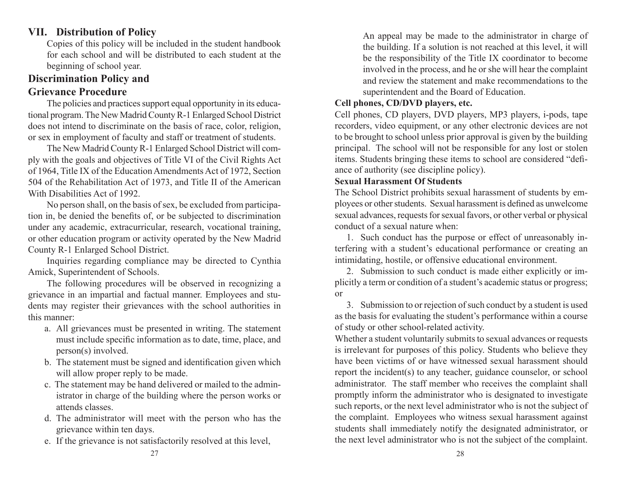# **VII. Distribution of Policy**

Copies of this policy will be included in the student handbook for each school and will be distributed to each student at the beginning of school year.

# **Discrimination Policy and Grievance Procedure**

The policies and practices support equal opportunity in its educational program. The New Madrid County R-1 Enlarged School District does not intend to discriminate on the basis of race, color, religion, or sex in employment of faculty and staff or treatment of students.

The New Madrid County R-1 Enlarged School District will comply with the goals and objectives of Title VI of the Civil Rights Act of 1964, Title IX of the Education Amendments Act of 1972, Section 504 of the Rehabilitation Act of 1973, and Title II of the American With Disabilities Act of 1992.

No person shall, on the basis of sex, be excluded from participation in, be denied the benefits of, or be subjected to discrimination under any academic, extracurricular, research, vocational training, or other education program or activity operated by the New Madrid County R-1 Enlarged School District.

Inquiries regarding compliance may be directed to Cynthia Amick, Superintendent of Schools.

The following procedures will be observed in recognizing a grievance in an impartial and factual manner. Employees and students may register their grievances with the school authorities in this manner:

- a. All grievances must be presented in writing. The statement must include specific information as to date, time, place, and person(s) involved.
- b. The statement must be signed and identification given which will allow proper reply to be made.
- c. The statement may be hand delivered or mailed to the administrator in charge of the building where the person works or attends classes.
- d. The administrator will meet with the person who has the grievance within ten days.
- e. If the grievance is not satisfactorily resolved at this level,

An appeal may be made to the administrator in charge of the building. If a solution is not reached at this level, it will be the responsibility of the Title IX coordinator to become involved in the process, and he or she will hear the complaint and review the statement and make recommendations to the superintendent and the Board of Education.

### **Cell phones, CD/DVD players, etc.**

Cell phones, CD players, DVD players, MP3 players, i-pods, tape recorders, video equipment, or any other electronic devices are not to be brought to school unless prior approval is given by the building principal. The school will not be responsible for any lost or stolen items. Students bringing these items to school are considered "defiance of authority (see discipline policy).

#### **Sexual Harassment Of Students**

The School District prohibits sexual harassment of students by employees or other students. Sexual harassment is defined as unwelcome sexual advances, requests for sexual favors, or other verbal or physical conduct of a sexual nature when:

1. Such conduct has the purpose or effect of unreasonably interfering with a student's educational performance or creating an intimidating, hostile, or offensive educational environment.

2. Submission to such conduct is made either explicitly or implicitly a term or condition of a student's academic status or progress; or

3. Submission to or rejection of such conduct by a student is used as the basis for evaluating the student's performance within a course of study or other school-related activity.

Whether a student voluntarily submits to sexual advances or requests is irrelevant for purposes of this policy. Students who believe they have been victims of or have witnessed sexual harassment should report the incident(s) to any teacher, guidance counselor, or school administrator. The staff member who receives the complaint shall promptly inform the administrator who is designated to investigate such reports, or the next level administrator who is not the subject of the complaint. Employees who witness sexual harassment against students shall immediately notify the designated administrator, or the next level administrator who is not the subject of the complaint.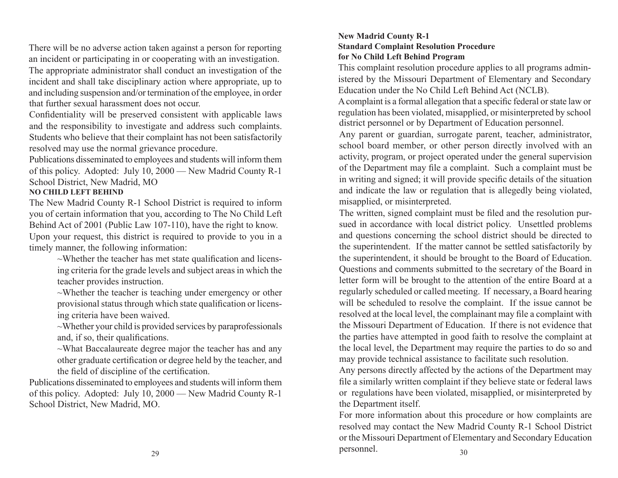There will be no adverse action taken against a person for reporting an incident or participating in or cooperating with an investigation.

The appropriate administrator shall conduct an investigation of the incident and shall take disciplinary action where appropriate, up to and including suspension and/or termination of the employee, in order that further sexual harassment does not occur.

Confidentiality will be preserved consistent with applicable laws and the responsibility to investigate and address such complaints. Students who believe that their complaint has not been satisfactorily resolved may use the normal grievance procedure.

Publications disseminated to employees and students will inform them of this policy. Adopted: July 10, 2000 — New Madrid County R-1 School District, New Madrid, MO

#### **NO CHILD LEFT BEHIND**

The New Madrid County R-1 School District is required to inform you of certain information that you, according to The No Child Left Behind Act of 2001 (Public Law 107-110), have the right to know. Upon your request, this district is required to provide to you in a timely manner, the following information:

> $\sim$ Whether the teacher has met state qualification and licensing criteria for the grade levels and subject areas in which the teacher provides instruction.

> ~Whether the teacher is teaching under emergency or other provisional status through which state qualification or licensing criteria have been waived.

> $\sim$ Whether your child is provided services by paraprofessionals and, if so, their qualifications.

> $\sim$ What Baccalaureate degree major the teacher has and any other graduate certification or degree held by the teacher, and the field of discipline of the certification.

Publications disseminated to employees and students will inform them of this policy. Adopted: July 10, 2000 — New Madrid County R-1 School District, New Madrid, MO.

#### **New Madrid County R-1 Standard Complaint Resolution Procedure for No Child Left Behind Program**

This complaint resolution procedure applies to all programs administered by the Missouri Department of Elementary and Secondary Education under the No Child Left Behind Act (NCLB).

district personnel or by Department of Education personnel. A complaint is a formal allegation that a specific federal or state law or regulation has been violated, misapplied, or misinterpreted by school

Any parent or guardian, surrogate parent, teacher, administrator, school board member, or other person directly involved with an activity, program, or project operated under the general supervision of the Department may file a complaint. Such a complaint must be in writing and signed; it will provide specific details of the situation and indicate the law or regulation that is allegedly being violated, misapplied, or misinterpreted.

The written, signed complaint must be filed and the resolution pursued in accordance with local district policy. Unsettled problems and questions concerning the school district should be directed to the superintendent. If the matter cannot be settled satisfactorily by the superintendent, it should be brought to the Board of Education. Questions and comments submitted to the secretary of the Board in letter form will be brought to the attention of the entire Board at a regularly scheduled or called meeting. If necessary, a Board hearing will be scheduled to resolve the complaint. If the issue cannot be resolved at the local level, the complainant may file a complaint with the Missouri Department of Education. If there is not evidence that the parties have attempted in good faith to resolve the complaint at the local level, the Department may require the parties to do so and may provide technical assistance to facilitate such resolution.

Any persons directly affected by the actions of the Department may file a similarly written complaint if they believe state or federal laws or regulations have been violated, misapplied, or misinterpreted by the Department itself.

For more information about this procedure or how complaints are resolved may contact the New Madrid County R-1 School District or the Missouri Department of Elementary and Secondary Education personnel.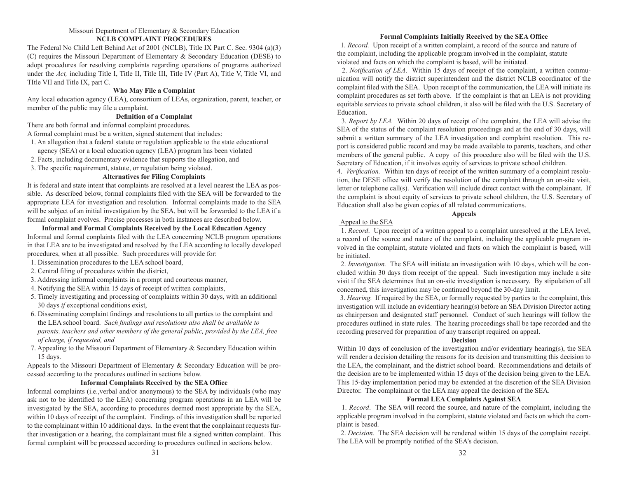#### Missouri Department of Elementary & Secondary Education **NCLB COMPLAINT PROCEDURES**

The Federal No Child Left Behind Act of 2001 (NCLB), Title IX Part C. Sec. 9304 (a)(3) (C) requires the Missouri Department of Elementary & Secondary Education (DESE) to adopt procedures for resolving complaints regarding operations of programs authorized under the *Act*, including Title I, Title II, Title III, Title IV (Part A), Title V, Title VI, and TItle VII and Title IX, part C.

#### **Who May File a Complaint**

Any local education agency (LEA), consortium of LEAs, organization, parent, teacher, or member of the public may file a complaint.

#### **Definition of a Complaint**

There are both formal and informal complaint procedures.

A formal complaint must be a written, signed statement that includes:

1. An allegation that a federal statute or regulation applicable to the state educational

agency (SEA) or a local education agency (LEA) program has been violated

2. Facts, including documentary evidence that supports the allegation, and

3. The specific requirement, statute, or regulation being violated.

#### **Alternatives for Filing Complaints**

It is federal and state intent that complaints are resolved at a level nearest the LEA as possible. As described below, formal complaints filed with the SEA will be forwarded to the appropriate LEA for investigation and resolution. Informal complaints made to the SEA will be subject of an initial investigation by the SEA, but will be forwarded to the LEA if a formal complaint evolves. Precise processes in both instances are described below.

**Informal and Formal Complaints Received by the Local Education Agency** Informal and formal conplaints filed with the LEA concerning NCLB program operations in that LEA are to be investigated and resolved by the LEA according to locally developed procedures, when at all possible. Such procedures will provide for:

1. Dissemination procedures to the LEA school board,

- 2. Central filing of procedures within the district,
- 3. Addressing informal complaints in a prompt and courteous manner,
- 4. Notifying the SEA within 15 days of receipt of written complaints,
- 5. Timely investigating and processing of complaints within 30 days, with an additional 30 days *if* exceptional conditions exist,
- 6. Disseminating complaint findings and resolutions to all parties to the complaint and the LEA school board. *Such findings and resolutions also shall be available to parents, teachers and other members of the general public, provided by the LEA, free of charge, if requested, and*
- 7. Appealing to the Missouri Department of Elementary & Secondary Education within 15 days.

Appeals to the Missouri Department of Elementary & Secondary Education will be processed according to the procedures outlined in sections below.

#### **Informal Complaints Received by the SEA Office**

Informal complaints (i.e.,verbal and/or anonymous) to the SEA by individuals (who may ask not to be identified to the LEA) concerning program operations in an LEA will be investigated by the SEA, according to procedures deemed most appropriate by the SEA, within 10 days of receipt of the complaint. Findings of this investigation shall be reported to the complainant within 10 additional days. In the event that the conplainant requests further investigation or a hearing, the complainant must file a signed written complaint. This formal complaint will be processed according to procedures outlined in sections below.

#### **Formal Complaints Initially Received by the SEA Office**

 1. *Record.* Upon receipt of a written complaint, a record of the source and nature of the complaint, including the applicable program involved in the complaint, statute violated and facts on which the complaint is based, will be initiated.

 2. *Notification of LEA*. Within 15 days of receipt of the complaint, a written communication will notify the district superintendent and the district NCLB coordinator of the complaint filed with the SEA. Upon receipt of the communication, the LEA will initiate its complaint procedures as set forth above. If the complaint is that an LEA is not providing equitable services to private school children, it also will be filed with the U.S. Secretary of Education.

 3. *Report by LEA.* Within 20 days of receipt of the complaint, the LEA will advise the SEA of the status of the complaint resolution proceedings and at the end of 30 days, will submit a written summary of the LEA investigation and complaint resolution. This report is considered public record and may be made available to parents, teachers, and other members of the general public. A copy of this procedure also will be filed with the U.S. Secretary of Education, if it involves equity of services to private school children.

4. *Verification.* Within ten days of receipt of the written summary of a complaint resolution, the DESE office will verify the resolution of the complaint through an on-site visit, letter or telephone call(s). Verification will include direct contact with the complainant. If the complaint is about equity of services to private school children, the U.S. Secretary of Education shall also be given copies of all related communications.

#### **Appeals**

#### Appeal to the SEA

 1. *Record*. Upon receipt of a written appeal to a complaint unresolved at the LEA level, a record of the source and nature of the complaint, including the applicable program involved in the complaint, statute violated and facts on which the complaint is based, will be initiated.

 2. *Investigation.* The SEA will initiate an investigation with 10 days, which will be concluded within 30 days from receipt of the appeal. Such investigation may include a site visit if the SEA determines that an on-site investigation is necessary. By stipulation of all concerned, this investigation may be continued beyond the 30-day limit.

 3. *Hearing.* If required by the SEA, or formally requested by parties to the complaint, this investigation will include an evidentiary hearing(s) before an SEA Division Director acting as chairperson and designated staff personnel. Conduct of such hearings will follow the procedures outlined in state rules. The hearing proceedings shall be tape recorded and the recording preserved for preparation of any transcript required on appeal.

#### **Decision**

Within 10 days of conclusion of the investigation and/or evidentiary hearing(s), the SEA will render a decision detailing the reasons for its decision and transmitting this decision to the LEA, the complainant, and the district school board. Recommendations and details of the decision are to be implemented within 15 days of the decision being given to the LEA. This 15-day implementation period may be extended at the discretion of the SEA Division Director. The complainant or the LEA may appeal the decision of the SEA.

#### **Formal LEA Complaints Against SEA**

 1. *Record*. The SEA will record the source, and nature of the complaint, including the applicable program involved in the complaint, statute violated and facts on which the complaint is based.

 2. *Decision.* The SEA decision will be rendered within 15 days of the complaint receipt. The LEA will be promptly notified of the SEA's decision.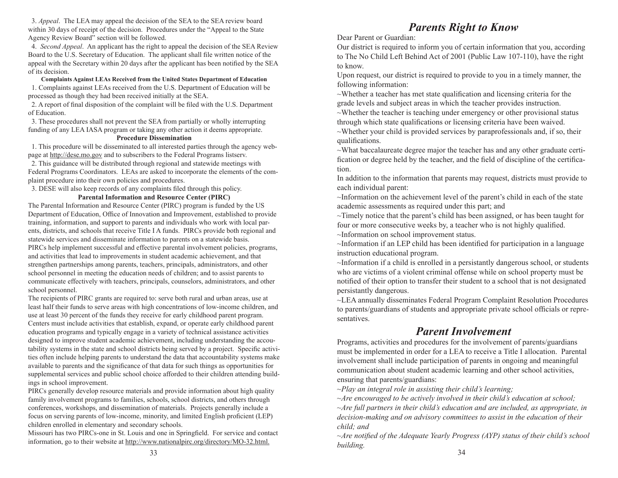3. *Appeal*. The LEA may appeal the decision of the SEA to the SEA review board within 30 days of receipt of the decision. Procedures under the "Appeal to the State Agency Review Board" section will be followed.

 4. *Second Appeal*. An applicant has the right to appeal the decision of the SEA Review Board to the U.S. Secretary of Education. The applicant shall file written notice of the appeal with the Secretary within 20 days after the applicant has been notified by the SEA of its decision.

**Complaints Against LEAs Received from the United States Department of Education** 1. Complaints against LEAs received from the U.S. Department of Education will be processed as though they had been received initially at the SEA.

 2. A report of final disposition of the complaint will be filed with the U.S. Department of Education.

 3. These procedures shall not prevent the SEA from partially or wholly interrupting funding of any LEA IASA program or taking any other action it deems appropriate.

#### **Procedure Dissemination**

 1. This procedure will be disseminated to all interested parties through the agency webpage at http://dese.mo.gov and to subscribers to the Federal Programs listserv.

 2. This guidance will be distributed through regional and statewide meetings with Federal Programs Coordinators. LEAs are asked to incorporate the elements of the complaint procedure into their own policies and procedures.

3. DESE will also keep records of any complaints filed through this policy.

#### **Parental Information and Resource Center (PIRC)**

The Parental Information and Resource Center (PIRC) program is funded by the US Department of Education, Office of Innovation and Improvement, established to provide training, information, and support to parents and individuals who work with local parents, districts, and schools that receive Title I A funds. PIRCs provide both regional and statewide services and disseminate information to parents on a statewide basis. PIRCs help implement successful and effective parental involvement policies, programs, and activities that lead to improvements in student academic achievement, and that strengthen partnerships among parents, teachers, principals, administrators, and other school personnel in meeting the education needs of children; and to assist parents to communicate effectively with teachers, principals, counselors, administrators, and other school personnel.

The recipients of PIRC grants are required to: serve both rural and urban areas, use at least half their funds to serve areas with high concentrations of low-income children, and use at least 30 percent of the funds they receive for early childhood parent program. Centers must include activities that establish, expand, or operate early childhood parent education programs and typically engage in a variety of technical assistance activities designed to improve student academic achievement, including understanding the accoutability systems in the state and school districts being served by a project. Specific activities often include helping parents to understand the data that accountability systems make available to parents and the significance of that data for such things as opportunities for supplemental services and public school choice afforded to their children attending buildings in school improvement.

PIRCs generally develop resource materials and provide information about high quality family involvement programs to families, schools, school districts, and others through conferences, workshops, and dissemination of materials. Projects generally include a focus on serving parents of low-income, minority, and limited English proficient (LEP) children enrolled in elementary and secondary schools.

Missouri has two PIRCs-one in St. Louis and one in Springfield. For service and contact information, go to their website at http://www.nationalpirc.org/directory/MO-32.html.

# *Parents Right to Know*

Dear Parent or Guardian:

Our district is required to inform you of certain information that you, according to The No Child Left Behind Act of 2001 (Public Law 107-110), have the right to know.

Upon request, our district is required to provide to you in a timely manner, the following information:

~Whether a teacher has met state qualification and licensing criteria for the grade levels and subject areas in which the teacher provides instruction.

 $\sim$ Whether the teacher is teaching under emergency or other provisional status through which state qualifications or licensing criteria have been waived.

 $\sim$ Whether your child is provided services by paraprofessionals and, if so, their qualifications.

~What baccalaureate degree major the teacher has and any other graduate certification or degree held by the teacher, and the field of discipline of the certification.

In addition to the information that parents may request, districts must provide to each individual parent:

~Information on the achievement level of the parent's child in each of the state academic assessments as required under this part; and

 $\sim$ Timely notice that the parent's child has been assigned, or has been taught for four or more consecutive weeks by, a teacher who is not highly qualified.

~Information on school improvement status.

~Information if an LEP child has been identified for participation in a language instruction educational program.

~Information if a child is enrolled in a persistantly dangerous school, or students who are victims of a violent criminal offense while on school property must be notified of their option to transfer their student to a school that is not designated persistantly dangerous.

~LEA annually disseminates Federal Program Complaint Resolution Procedures to parents/guardians of students and appropriate private school officials or representatives.

# *Parent Involvement*

Programs, activities and procedures for the involvement of parents/guardians must be implemented in order for a LEA to receive a Title I allocation. Parental involvement shall include participation of parents in ongoing and meaningful communication about student academic learning and other school activities, ensuring that parents/guardians:

*~Play an integral role in assisting their child's learning;*

*~Are encouraged to be actively involved in their child's education at school; ~Are full partners in their child's education and are included, as appropriate, in decision-making and on advisory committees to assist in the education of their child; and*

*~Are notified of the Adequate Yearly Progress (AYP) status of their child's school building.*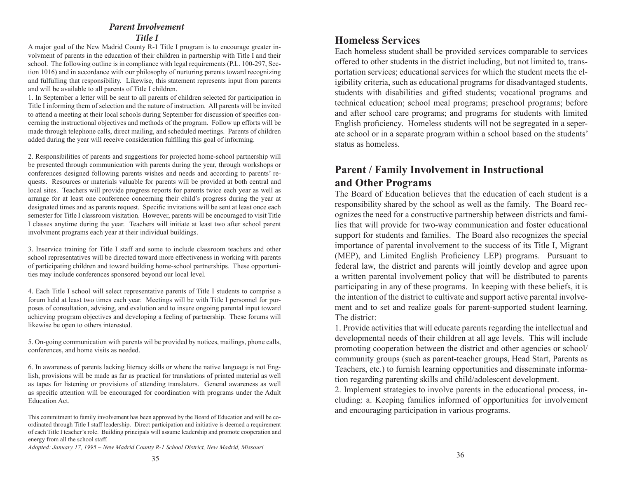# *Parent Involvement*

#### *Title I*

A major goal of the New Madrid County R-1 Title I program is to encourage greater involvment of parents in the education of their children in partnership with Title I and their school. The following outline is in compliance with legal requirements (P.L. 100-297, Section 1016) and in accordance with our philosophy of nurturing parents toward recognizing and fulfulling that responsibility. Likewise, this statement represents input from parents and will be available to all parents of Title I children.

1. In September a letter will be sent to all parents of children selected for participation in Title I informing them of selection and the nature of instruction. All parents will be invited to attend a meeting at their local schools during September for discussion of specifics concerning the instructional objectives and methods of the program. Follow up efforts will be made through telephone calls, direct mailing, and scheduled meetings. Parents of children added during the year will receive consideration fulfilling this goal of informing.

2. Responsibilities of parents and suggestions for projected home-school partnership will be presented through communication with parents during the year, through workshops or conferences designed following parents wishes and needs and according to parents' requests. Resources or materials valuable for parents will be provided at both central and local sites. Teachers will provide progress reports for parents twice each year as well as arrange for at least one conference concerning their child's progress during the year at designated times and as parents request. Specific invitations will be sent at least once each semester for Title I classroom visitation. However, parents will be encouraged to visit Title I classes anytime during the year. Teachers will initiate at least two after school parent involvment programs each year at their individual buildings.

3. Inservice training for Title I staff and some to include classroom teachers and other school representatives will be directed toward more effectiveness in working with parents of participating children and toward building home-school partnerships. These opportunities may include conferences sponsored beyond our local level.

4. Each Title I school will select representative parents of Title I students to comprise a forum held at least two times each year. Meetings will be with Title I personnel for purposes of consultation, advising, and evalution and to insure ongoing parental input toward achieving program objectives and developing a feeling of partnership. These forums will likewise be open to others interested.

5. On-going communication with parents wil be provided by notices, mailings, phone calls, conferences, and home visits as needed.

6. In awareness of parents lacking literacy skills or where the native language is not English, provisions will be made as far as practical for translations of printed material as well as tapes for listening or provisions of attending translators. General awareness as well as specific attention will be encouraged for coordination with programs under the Adult Education Act.

*Adopted: January 17, 1995 ~ New Madrid County R-1 School District, New Madrid, Missouri*

Each homeless student shall be provided services comparable to services offered to other students in the district including, but not limited to, transportation services; educational services for which the student meets the eligibility criteria, such as educational programs for disadvantaged students, students with disabilities and gifted students; vocational programs and technical education; school meal programs; preschool programs; before and after school care programs; and programs for students with limited English proficiency. Homeless students will not be segregated in a seperate school or in a separate program within a school based on the students' status as homeless.

# **Parent / Family Involvement in Instructional and Other Programs**

The Board of Education believes that the education of each student is a responsibility shared by the school as well as the family. The Board recognizes the need for a constructive partnership between districts and families that will provide for two-way communication and foster educational support for students and families. The Board also recognizes the special importance of parental involvement to the success of its Title I, Migrant (MEP), and Limited English Proficiency LEP) programs. Pursuant to federal law, the district and parents will jointly develop and agree upon a written parental involvement policy that will be distributed to parents participating in any of these programs. In keeping with these beliefs, it is the intention of the district to cultivate and support active parental involvement and to set and realize goals for parent-supported student learning. The district:

1. Provide activities that will educate parents regarding the intellectual and developmental needs of their children at all age levels. This will include promoting cooperation between the district and other agencies or school/ community groups (such as parent-teacher groups, Head Start, Parents as Teachers, etc.) to furnish learning opportunities and disseminate information regarding parenting skills and child/adolescent development.

2. Implement strategies to involve parents in the educational process, including: a. Keeping families informed of opportunities for involvement and encouraging participation in various programs.

This commitment to family involvement has been approved by the Board of Education and will be coordinated through Title I staff leadership. Direct participation and initiative is deemed a requirement of each Title I teacher's role. Building principals will assume leadership and promote cooperation and energy from all the school staff.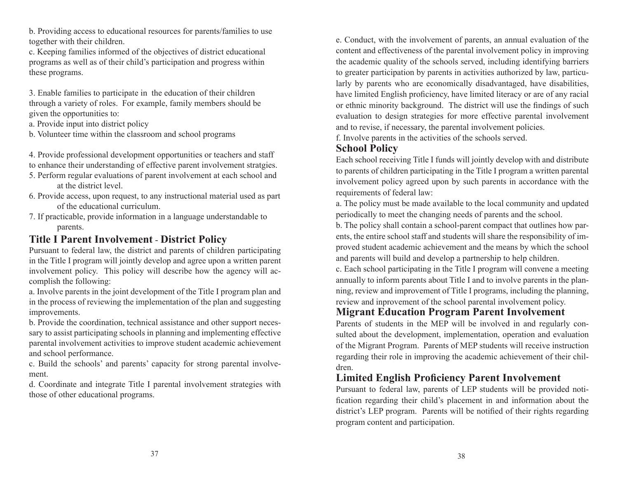b. Providing access to educational resources for parents/families to use together with their children.

c. Keeping families informed of the objectives of district educational programs as well as of their child's participation and progress within these programs.

3. Enable families to participate in the education of their children through a variety of roles. For example, family members should be given the opportunities to:

a. Provide input into district policy

b. Volunteer time within the classroom and school programs

4. Provide professional development opportunities or teachers and staff to enhance their understanding of effective parent involvement stratgies.

- 5. Perform regular evaluations of parent involvement at each school and at the district level.
- 6. Provide access, upon request, to any instructional material used as part of the educational curriculum.
- 7. If practicable, provide information in a language understandable to parents.

# **Title I Parent Involvement** - **District Policy**

Pursuant to federal law, the district and parents of children participating in the Title I program will jointly develop and agree upon a written parent involvement policy. This policy will describe how the agency will accomplish the following:

a. Involve parents in the joint development of the Title I program plan and in the process of reviewing the implementation of the plan and suggesting improvements.

b. Provide the coordination, technical assistance and other support necessary to assist participating schools in planning and implementing effective parental involvement activities to improve student academic achievement and school performance.

c. Build the schools' and parents' capacity for strong parental involvement.

d. Coordinate and integrate Title I parental involvement strategies with those of other educational programs.

e. Conduct, with the involvement of parents, an annual evaluation of the content and effectiveness of the parental involvement policy in improving the academic quality of the schools served, including identifying barriers to greater participation by parents in activities authorized by law, particularly by parents who are economically disadvantaged, have disabilities, have limited English proficiency, have limited literacy or are of any racial or ethnic minority background. The district will use the findings of such evaluation to design strategies for more effective parental involvement and to revise, if necessary, the parental involvement policies.

f. Involve parents in the activities of the schools served.

## **School Policy**

Each school receiving Title I funds will jointly develop with and distribute to parents of children participating in the Title I program a written parental involvement policy agreed upon by such parents in accordance with the requirements of federal law:

a. The policy must be made available to the local community and updated periodically to meet the changing needs of parents and the school.

b. The policy shall contain a school-parent compact that outlines how parents, the entire school staff and students will share the responsibility of improved student academic achievement and the means by which the school and parents will build and develop a partnership to help children.

c. Each school participating in the Title I program will convene a meeting annually to inform parents about Title I and to involve parents in the planning, review and improvement of Title I programs, including the planning, review and inprovement of the school parental involvement policy.

# **Migrant Education Program Parent Involvement**

Parents of students in the MEP will be involved in and regularly consulted about the development, implementation, operation and evaluation of the Migrant Program. Parents of MEP students will receive instruction regarding their role in improving the academic achievement of their children.

# **Limited English Proficiency Parent Involvement**

Pursuant to federal law, parents of LEP students will be provided notification regarding their child's placement in and information about the district's LEP program. Parents will be notified of their rights regarding program content and participation.